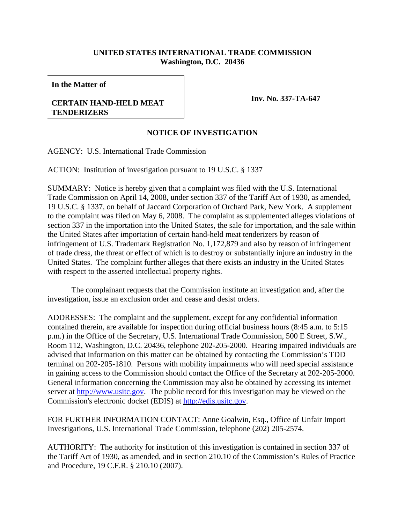## **UNITED STATES INTERNATIONAL TRADE COMMISSION Washington, D.C. 20436**

**In the Matter of**

## **CERTAIN HAND-HELD MEAT TENDERIZERS**

**Inv. No. 337-TA-647**

## **NOTICE OF INVESTIGATION**

AGENCY: U.S. International Trade Commission

ACTION: Institution of investigation pursuant to 19 U.S.C. § 1337

SUMMARY: Notice is hereby given that a complaint was filed with the U.S. International Trade Commission on April 14, 2008, under section 337 of the Tariff Act of 1930, as amended, 19 U.S.C. § 1337, on behalf of Jaccard Corporation of Orchard Park, New York. A supplement to the complaint was filed on May 6, 2008. The complaint as supplemented alleges violations of section 337 in the importation into the United States, the sale for importation, and the sale within the United States after importation of certain hand-held meat tenderizers by reason of infringement of U.S. Trademark Registration No. 1,172,879 and also by reason of infringement of trade dress, the threat or effect of which is to destroy or substantially injure an industry in the United States. The complaint further alleges that there exists an industry in the United States with respect to the asserted intellectual property rights.

The complainant requests that the Commission institute an investigation and, after the investigation, issue an exclusion order and cease and desist orders.

ADDRESSES: The complaint and the supplement, except for any confidential information contained therein, are available for inspection during official business hours (8:45 a.m. to 5:15 p.m.) in the Office of the Secretary, U.S. International Trade Commission, 500 E Street, S.W., Room 112, Washington, D.C. 20436, telephone 202-205-2000. Hearing impaired individuals are advised that information on this matter can be obtained by contacting the Commission's TDD terminal on 202-205-1810. Persons with mobility impairments who will need special assistance in gaining access to the Commission should contact the Office of the Secretary at 202-205-2000. General information concerning the Commission may also be obtained by accessing its internet server at http://www.usitc.gov. The public record for this investigation may be viewed on the Commission's electronic docket (EDIS) at http://edis.usitc.gov.

FOR FURTHER INFORMATION CONTACT: Anne Goalwin, Esq., Office of Unfair Import Investigations, U.S. International Trade Commission, telephone (202) 205-2574.

AUTHORITY: The authority for institution of this investigation is contained in section 337 of the Tariff Act of 1930, as amended, and in section 210.10 of the Commission's Rules of Practice and Procedure, 19 C.F.R. § 210.10 (2007).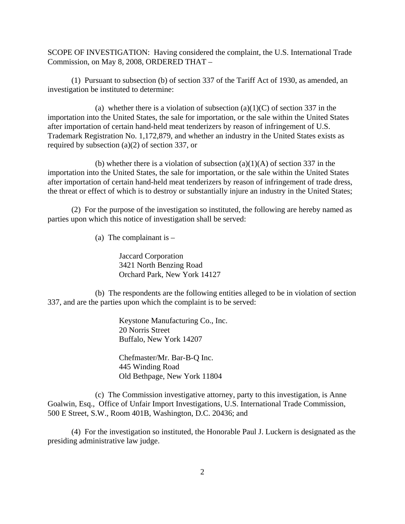SCOPE OF INVESTIGATION: Having considered the complaint, the U.S. International Trade Commission, on May 8, 2008, ORDERED THAT –

(1) Pursuant to subsection (b) of section 337 of the Tariff Act of 1930, as amended, an investigation be instituted to determine:

(a) whether there is a violation of subsection  $(a)(1)(C)$  of section 337 in the importation into the United States, the sale for importation, or the sale within the United States after importation of certain hand-held meat tenderizers by reason of infringement of U.S. Trademark Registration No. 1,172,879, and whether an industry in the United States exists as required by subsection (a)(2) of section 337, or

(b) whether there is a violation of subsection  $(a)(1)(A)$  of section 337 in the importation into the United States, the sale for importation, or the sale within the United States after importation of certain hand-held meat tenderizers by reason of infringement of trade dress, the threat or effect of which is to destroy or substantially injure an industry in the United States;

(2) For the purpose of the investigation so instituted, the following are hereby named as parties upon which this notice of investigation shall be served:

(a) The complainant is  $-$ 

Jaccard Corporation 3421 North Benzing Road Orchard Park, New York 14127

(b) The respondents are the following entities alleged to be in violation of section 337, and are the parties upon which the complaint is to be served:

> Keystone Manufacturing Co., Inc. 20 Norris Street Buffalo, New York 14207

Chefmaster/Mr. Bar-B-Q Inc. 445 Winding Road Old Bethpage, New York 11804

(c) The Commission investigative attorney, party to this investigation, is Anne Goalwin, Esq., Office of Unfair Import Investigations, U.S. International Trade Commission, 500 E Street, S.W., Room 401B, Washington, D.C. 20436; and

(4) For the investigation so instituted, the Honorable Paul J. Luckern is designated as the presiding administrative law judge.